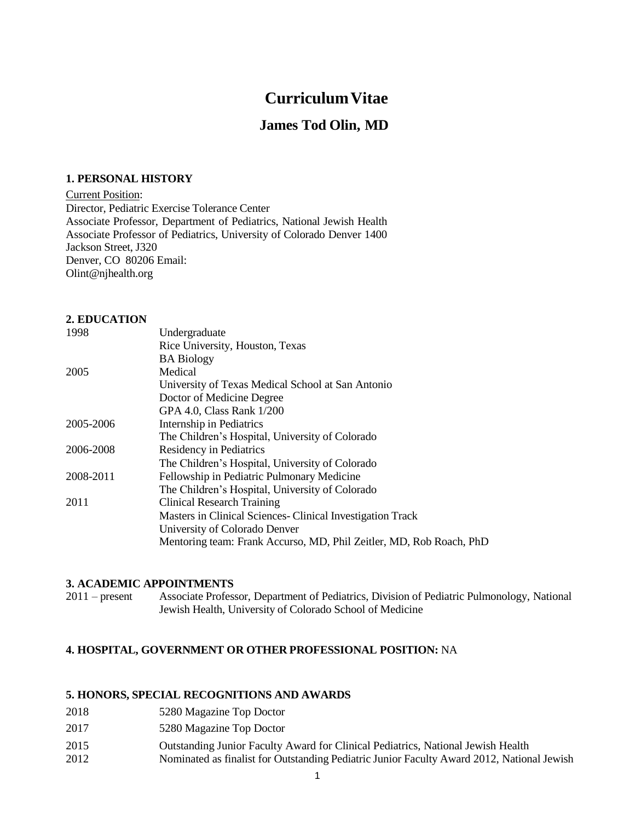# **CurriculumVitae**

# **James Tod Olin, MD**

#### **1. PERSONAL HISTORY**

Current Position: Director, Pediatric Exercise Tolerance Center Associate Professor, Department of Pediatrics, National Jewish Health Associate Professor of Pediatrics, University of Colorado Denver 1400 Jackson Street, J320 Denver, CO 80206 Email[:](mailto:Olint@njhealth.org) [Olint@njhealth.org](mailto:Olint@njhealth.org)

# **2. EDUCATION**

| 1998      | Undergraduate                                                       |
|-----------|---------------------------------------------------------------------|
|           | Rice University, Houston, Texas                                     |
|           | <b>BA Biology</b>                                                   |
| 2005      | Medical                                                             |
|           | University of Texas Medical School at San Antonio                   |
|           | Doctor of Medicine Degree                                           |
|           | GPA 4.0, Class Rank 1/200                                           |
| 2005-2006 | Internship in Pediatrics                                            |
|           | The Children's Hospital, University of Colorado                     |
| 2006-2008 | Residency in Pediatrics                                             |
|           | The Children's Hospital, University of Colorado                     |
| 2008-2011 | Fellowship in Pediatric Pulmonary Medicine                          |
|           | The Children's Hospital, University of Colorado                     |
| 2011      | <b>Clinical Research Training</b>                                   |
|           | Masters in Clinical Sciences - Clinical Investigation Track         |
|           | University of Colorado Denver                                       |
|           | Mentoring team: Frank Accurso, MD, Phil Zeitler, MD, Rob Roach, PhD |
|           |                                                                     |
|           |                                                                     |

#### **3. ACADEMIC APPOINTMENTS**

2011 – present Associate Professor, Department of Pediatrics, Division of Pediatric Pulmonology, National Jewish Health, University of Colorado School of Medicine

### **4. HOSPITAL, GOVERNMENT OR OTHER PROFESSIONAL POSITION:** NA

#### **5. HONORS, SPECIAL RECOGNITIONS AND AWARDS**

- 2018 5280 Magazine Top Doctor
- 2017 5280 Magazine Top Doctor
- 2015 Outstanding Junior Faculty Award for Clinical Pediatrics, National Jewish Health
- 2012 Nominated as finalist for Outstanding Pediatric Junior Faculty Award 2012, National Jewish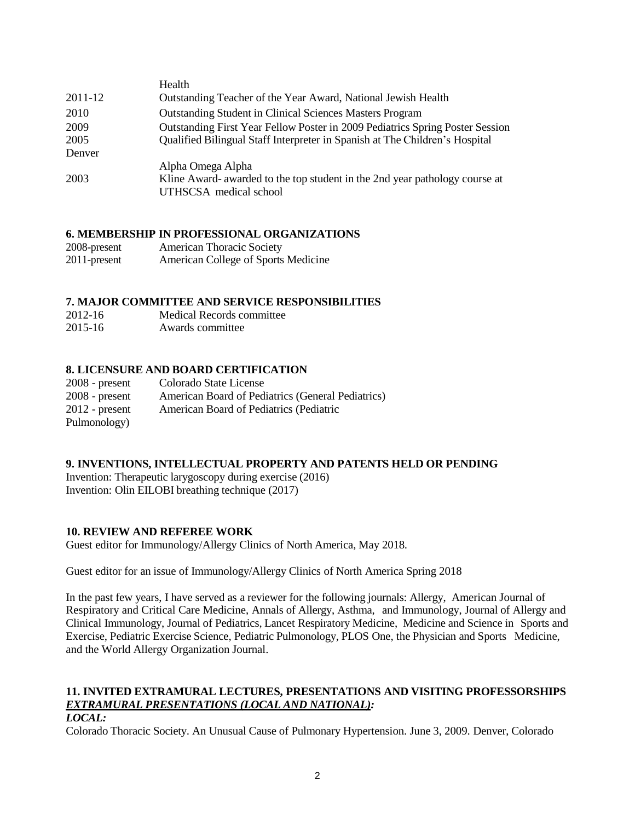|         | Health                                                                                                                     |
|---------|----------------------------------------------------------------------------------------------------------------------------|
| 2011-12 | Outstanding Teacher of the Year Award, National Jewish Health                                                              |
| 2010    | <b>Outstanding Student in Clinical Sciences Masters Program</b>                                                            |
| 2009    | Outstanding First Year Fellow Poster in 2009 Pediatrics Spring Poster Session                                              |
| 2005    | Qualified Bilingual Staff Interpreter in Spanish at The Children's Hospital                                                |
| Denver  |                                                                                                                            |
| 2003    | Alpha Omega Alpha<br>Kline Award- awarded to the top student in the 2nd year pathology course at<br>UTHSCSA medical school |

### **6. MEMBERSHIP IN PROFESSIONAL ORGANIZATIONS**

| 2008-present | American Thoracic Society           |
|--------------|-------------------------------------|
| 2011-present | American College of Sports Medicine |

#### **7. MAJOR COMMITTEE AND SERVICE RESPONSIBILITIES**

- 2012-16 Medical Records committee
- 2015-16 Awards committee

#### **8. LICENSURE AND BOARD CERTIFICATION**

| $2008$ - present | Colorado State License                            |
|------------------|---------------------------------------------------|
| $2008$ - present | American Board of Pediatrics (General Pediatrics) |
| $2012$ - present | American Board of Pediatrics (Pediatric           |
| Pulmonology)     |                                                   |

#### **9. INVENTIONS, INTELLECTUAL PROPERTY AND PATENTS HELD OR PENDING**

Invention: Therapeutic larygoscopy during exercise (2016) Invention: Olin EILOBI breathing technique (2017)

#### **10. REVIEW AND REFEREE WORK**

Guest editor for Immunology/Allergy Clinics of North America, May 2018.

Guest editor for an issue of Immunology/Allergy Clinics of North America Spring 2018

In the past few years, I have served as a reviewer for the following journals: Allergy, American Journal of Respiratory and Critical Care Medicine, Annals of Allergy, Asthma, and Immunology, Journal of Allergy and Clinical Immunology, Journal of Pediatrics, Lancet Respiratory Medicine, Medicine and Science in Sports and Exercise, Pediatric Exercise Science, Pediatric Pulmonology, PLOS One, the Physician and Sports Medicine, and the World Allergy Organization Journal.

# **11. INVITED EXTRAMURAL LECTURES, PRESENTATIONS AND VISITING PROFESSORSHIPS** *EXTRAMURAL PRESENTATIONS (LOCAL AND NATIONAL):*

#### *LOCAL:*

Colorado Thoracic Society. An Unusual Cause of Pulmonary Hypertension. June 3, 2009. Denver, Colorado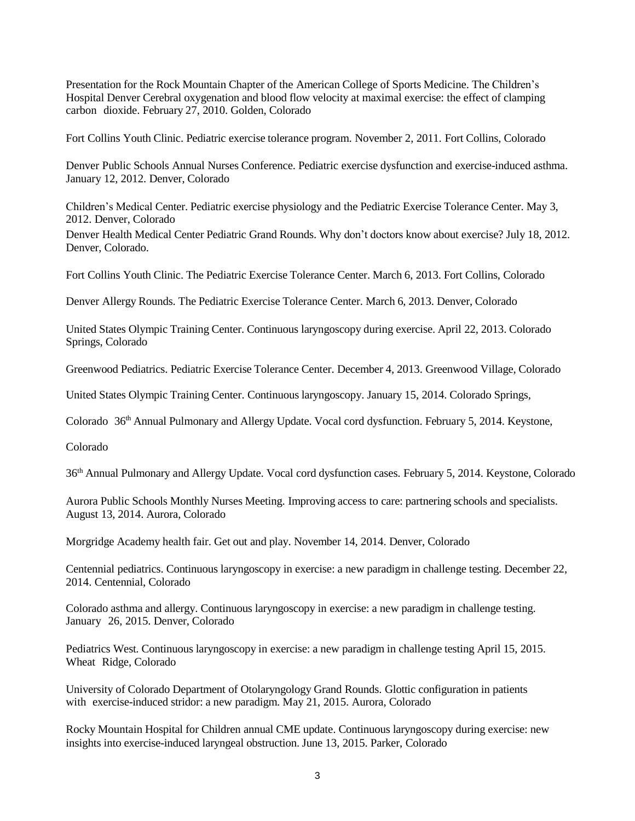Presentation for the Rock Mountain Chapter of the American College of Sports Medicine. The Children's Hospital Denver Cerebral oxygenation and blood flow velocity at maximal exercise: the effect of clamping carbon dioxide. February 27, 2010. Golden, Colorado

Fort Collins Youth Clinic. Pediatric exercise tolerance program. November 2, 2011. Fort Collins, Colorado

Denver Public Schools Annual Nurses Conference. Pediatric exercise dysfunction and exercise-induced asthma. January 12, 2012. Denver, Colorado

Children's Medical Center. Pediatric exercise physiology and the Pediatric Exercise Tolerance Center. May 3, 2012. Denver, Colorado

Denver Health Medical Center Pediatric Grand Rounds. Why don't doctors know about exercise? July 18, 2012. Denver, Colorado.

Fort Collins Youth Clinic. The Pediatric Exercise Tolerance Center. March 6, 2013. Fort Collins, Colorado

Denver Allergy Rounds. The Pediatric Exercise Tolerance Center. March 6, 2013. Denver, Colorado

United States Olympic Training Center. Continuous laryngoscopy during exercise. April 22, 2013. Colorado Springs, Colorado

Greenwood Pediatrics. Pediatric Exercise Tolerance Center. December 4, 2013. Greenwood Village, Colorado

United States Olympic Training Center. Continuous laryngoscopy. January 15, 2014. Colorado Springs,

Colorado 36th Annual Pulmonary and Allergy Update. Vocal cord dysfunction. February 5, 2014. Keystone,

Colorado

36th Annual Pulmonary and Allergy Update. Vocal cord dysfunction cases. February 5, 2014. Keystone, Colorado

Aurora Public Schools Monthly Nurses Meeting. Improving access to care: partnering schools and specialists. August 13, 2014. Aurora, Colorado

Morgridge Academy health fair. Get out and play. November 14, 2014. Denver, Colorado

Centennial pediatrics. Continuous laryngoscopy in exercise: a new paradigm in challenge testing. December 22, 2014. Centennial, Colorado

Colorado asthma and allergy. Continuous laryngoscopy in exercise: a new paradigm in challenge testing. January 26, 2015. Denver, Colorado

Pediatrics West. Continuous laryngoscopy in exercise: a new paradigm in challenge testing April 15, 2015. Wheat Ridge, Colorado

University of Colorado Department of Otolaryngology Grand Rounds. Glottic configuration in patients with exercise-induced stridor: a new paradigm. May 21, 2015. Aurora, Colorado

Rocky Mountain Hospital for Children annual CME update. Continuous laryngoscopy during exercise: new insights into exercise-induced laryngeal obstruction. June 13, 2015. Parker, Colorado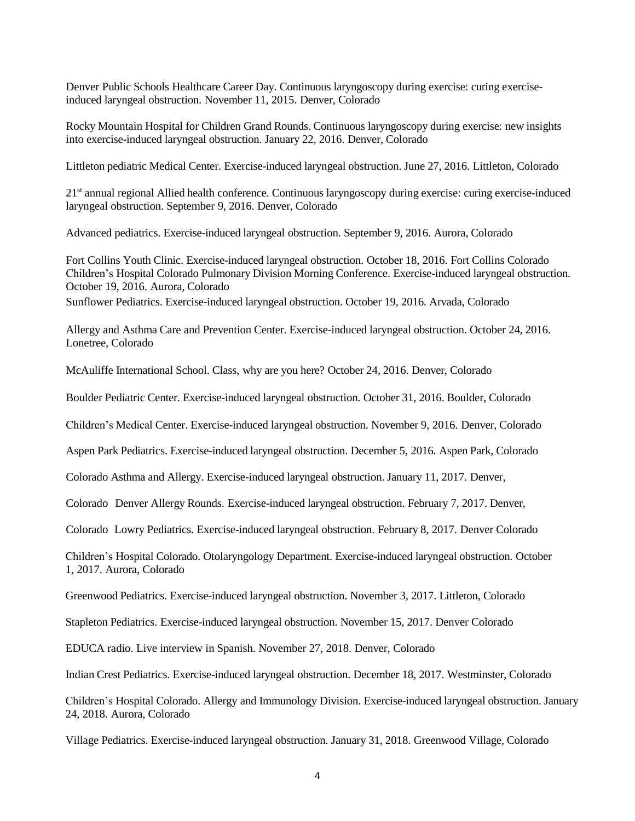Denver Public Schools Healthcare Career Day. Continuous laryngoscopy during exercise: curing exerciseinduced laryngeal obstruction. November 11, 2015. Denver, Colorado

Rocky Mountain Hospital for Children Grand Rounds. Continuous laryngoscopy during exercise: new insights into exercise-induced laryngeal obstruction. January 22, 2016. Denver, Colorado

Littleton pediatric Medical Center. Exercise-induced laryngeal obstruction. June 27, 2016. Littleton, Colorado

21<sup>st</sup> annual regional Allied health conference. Continuous laryngoscopy during exercise: curing exercise-induced laryngeal obstruction. September 9, 2016. Denver, Colorado

Advanced pediatrics. Exercise-induced laryngeal obstruction. September 9, 2016. Aurora, Colorado

Fort Collins Youth Clinic. Exercise-induced laryngeal obstruction. October 18, 2016. Fort Collins Colorado Children's Hospital Colorado Pulmonary Division Morning Conference. Exercise-induced laryngeal obstruction. October 19, 2016. Aurora, Colorado

Sunflower Pediatrics. Exercise-induced laryngeal obstruction. October 19, 2016. Arvada, Colorado

Allergy and Asthma Care and Prevention Center. Exercise-induced laryngeal obstruction. October 24, 2016. Lonetree, Colorado

McAuliffe International School. Class, why are you here? October 24, 2016. Denver, Colorado

Boulder Pediatric Center. Exercise-induced laryngeal obstruction. October 31, 2016. Boulder, Colorado

Children's Medical Center. Exercise-induced laryngeal obstruction. November 9, 2016. Denver, Colorado

Aspen Park Pediatrics. Exercise-induced laryngeal obstruction. December 5, 2016. Aspen Park, Colorado

Colorado Asthma and Allergy. Exercise-induced laryngeal obstruction. January 11, 2017. Denver,

Colorado Denver Allergy Rounds. Exercise-induced laryngeal obstruction. February 7, 2017. Denver,

Colorado Lowry Pediatrics. Exercise-induced laryngeal obstruction. February 8, 2017. Denver Colorado

Children's Hospital Colorado. Otolaryngology Department. Exercise-induced laryngeal obstruction. October 1, 2017. Aurora, Colorado

Greenwood Pediatrics. Exercise-induced laryngeal obstruction. November 3, 2017. Littleton, Colorado

Stapleton Pediatrics. Exercise-induced laryngeal obstruction. November 15, 2017. Denver Colorado

EDUCA radio. Live interview in Spanish. November 27, 2018. Denver, Colorado

Indian Crest Pediatrics. Exercise-induced laryngeal obstruction. December 18, 2017. Westminster, Colorado

Children's Hospital Colorado. Allergy and Immunology Division. Exercise-induced laryngeal obstruction. January 24, 2018. Aurora, Colorado

Village Pediatrics. Exercise-induced laryngeal obstruction. January 31, 2018. Greenwood Village, Colorado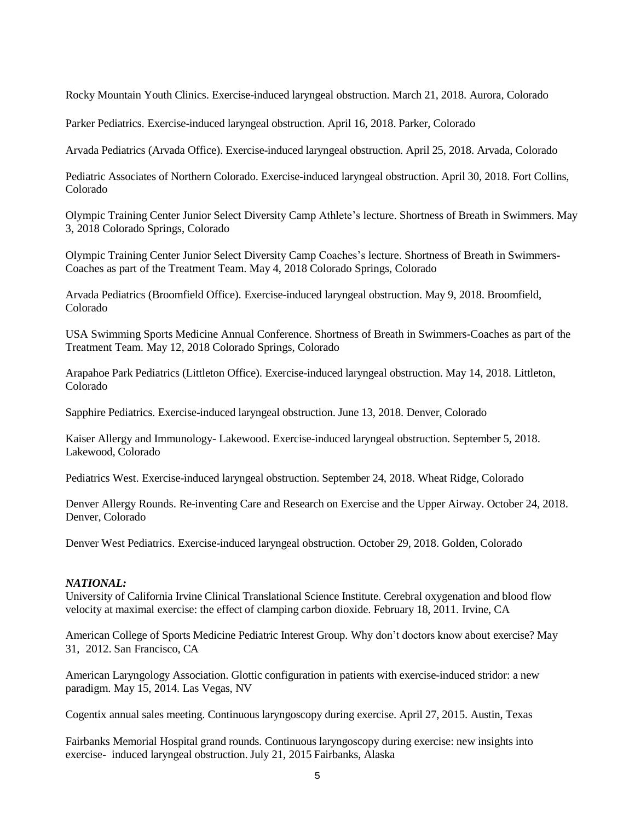Rocky Mountain Youth Clinics. Exercise-induced laryngeal obstruction. March 21, 2018. Aurora, Colorado

Parker Pediatrics. Exercise-induced laryngeal obstruction. April 16, 2018. Parker, Colorado

Arvada Pediatrics (Arvada Office). Exercise-induced laryngeal obstruction. April 25, 2018. Arvada, Colorado

Pediatric Associates of Northern Colorado. Exercise-induced laryngeal obstruction. April 30, 2018. Fort Collins, Colorado

Olympic Training Center Junior Select Diversity Camp Athlete's lecture. Shortness of Breath in Swimmers. May 3, 2018 Colorado Springs, Colorado

Olympic Training Center Junior Select Diversity Camp Coaches's lecture. Shortness of Breath in Swimmers-Coaches as part of the Treatment Team. May 4, 2018 Colorado Springs, Colorado

Arvada Pediatrics (Broomfield Office). Exercise-induced laryngeal obstruction. May 9, 2018. Broomfield, Colorado

USA Swimming Sports Medicine Annual Conference. Shortness of Breath in Swimmers-Coaches as part of the Treatment Team. May 12, 2018 Colorado Springs, Colorado

Arapahoe Park Pediatrics (Littleton Office). Exercise-induced laryngeal obstruction. May 14, 2018. Littleton, Colorado

Sapphire Pediatrics. Exercise-induced laryngeal obstruction. June 13, 2018. Denver, Colorado

Kaiser Allergy and Immunology- Lakewood. Exercise-induced laryngeal obstruction. September 5, 2018. Lakewood, Colorado

Pediatrics West. Exercise-induced laryngeal obstruction. September 24, 2018. Wheat Ridge, Colorado

Denver Allergy Rounds. Re-inventing Care and Research on Exercise and the Upper Airway. October 24, 2018. Denver, Colorado

Denver West Pediatrics. Exercise-induced laryngeal obstruction. October 29, 2018. Golden, Colorado

#### *NATIONAL:*

University of California Irvine Clinical Translational Science Institute. Cerebral oxygenation and blood flow velocity at maximal exercise: the effect of clamping carbon dioxide. February 18, 2011. Irvine, CA

American College of Sports Medicine Pediatric Interest Group. Why don't doctors know about exercise? May 31, 2012. San Francisco, CA

American Laryngology Association. Glottic configuration in patients with exercise-induced stridor: a new paradigm. May 15, 2014. Las Vegas, NV

Cogentix annual sales meeting. Continuous laryngoscopy during exercise. April 27, 2015. Austin, Texas

Fairbanks Memorial Hospital grand rounds. Continuous laryngoscopy during exercise: new insights into exercise- induced laryngeal obstruction. July 21, 2015 Fairbanks, Alaska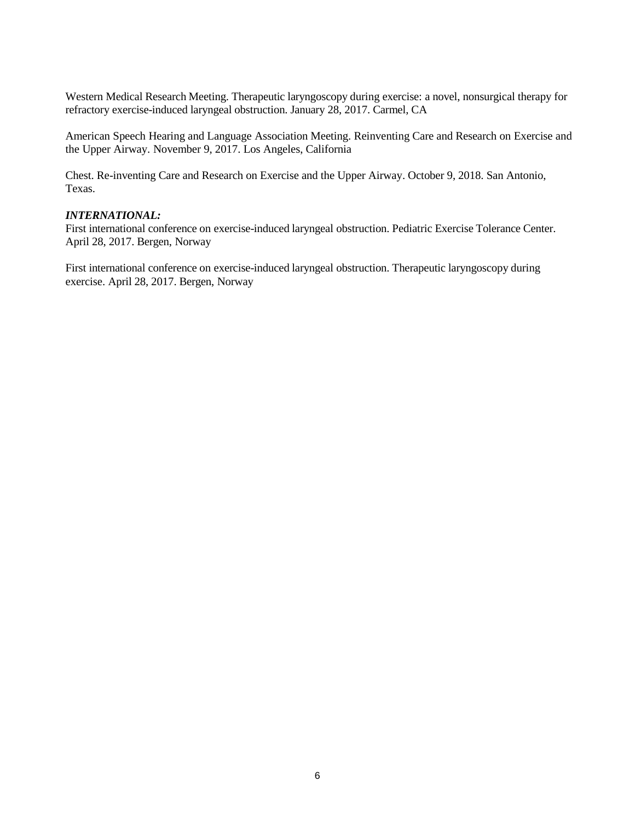Western Medical Research Meeting. Therapeutic laryngoscopy during exercise: a novel, nonsurgical therapy for refractory exercise-induced laryngeal obstruction. January 28, 2017. Carmel, CA

American Speech Hearing and Language Association Meeting. Reinventing Care and Research on Exercise and the Upper Airway. November 9, 2017. Los Angeles, California

Chest. Re-inventing Care and Research on Exercise and the Upper Airway. October 9, 2018. San Antonio, Texas.

#### *INTERNATIONAL:*

First international conference on exercise-induced laryngeal obstruction. Pediatric Exercise Tolerance Center. April 28, 2017. Bergen, Norway

First international conference on exercise-induced laryngeal obstruction. Therapeutic laryngoscopy during exercise. April 28, 2017. Bergen, Norway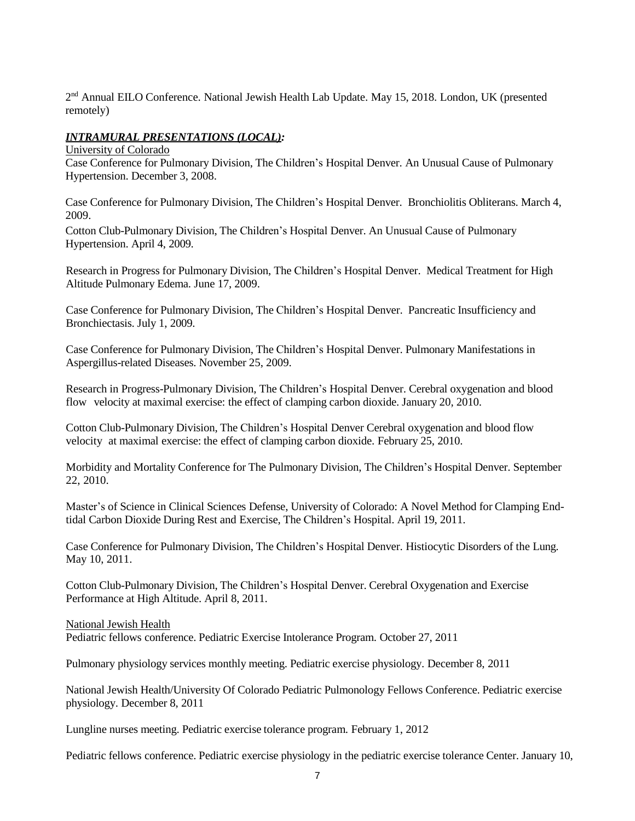2<sup>nd</sup> Annual EILO Conference. National Jewish Health Lab Update. May 15, 2018. London, UK (presented remotely)

# *INTRAMURAL PRESENTATIONS (LOCAL):*

University of Colorado

Case Conference for Pulmonary Division, The Children's Hospital Denver. An Unusual Cause of Pulmonary Hypertension. December 3, 2008.

Case Conference for Pulmonary Division, The Children's Hospital Denver. Bronchiolitis Obliterans. March 4, 2009.

Cotton Club-Pulmonary Division, The Children's Hospital Denver. An Unusual Cause of Pulmonary Hypertension. April 4, 2009.

Research in Progress for Pulmonary Division, The Children's Hospital Denver. Medical Treatment for High Altitude Pulmonary Edema. June 17, 2009.

Case Conference for Pulmonary Division, The Children's Hospital Denver. Pancreatic Insufficiency and Bronchiectasis. July 1, 2009.

Case Conference for Pulmonary Division, The Children's Hospital Denver. Pulmonary Manifestations in Aspergillus-related Diseases. November 25, 2009.

Research in Progress-Pulmonary Division, The Children's Hospital Denver. Cerebral oxygenation and blood flow velocity at maximal exercise: the effect of clamping carbon dioxide. January 20, 2010.

Cotton Club-Pulmonary Division, The Children's Hospital Denver Cerebral oxygenation and blood flow velocity at maximal exercise: the effect of clamping carbon dioxide. February 25, 2010.

Morbidity and Mortality Conference for The Pulmonary Division, The Children's Hospital Denver. September 22, 2010.

Master's of Science in Clinical Sciences Defense, University of Colorado: A Novel Method for Clamping Endtidal Carbon Dioxide During Rest and Exercise, The Children's Hospital. April 19, 2011.

Case Conference for Pulmonary Division, The Children's Hospital Denver. Histiocytic Disorders of the Lung. May 10, 2011.

Cotton Club-Pulmonary Division, The Children's Hospital Denver. Cerebral Oxygenation and Exercise Performance at High Altitude. April 8, 2011.

National Jewish Health

Pediatric fellows conference. Pediatric Exercise Intolerance Program. October 27, 2011

Pulmonary physiology services monthly meeting. Pediatric exercise physiology. December 8, 2011

National Jewish Health/University Of Colorado Pediatric Pulmonology Fellows Conference. Pediatric exercise physiology. December 8, 2011

Lungline nurses meeting. Pediatric exercise tolerance program. February 1, 2012

Pediatric fellows conference. Pediatric exercise physiology in the pediatric exercise tolerance Center. January 10,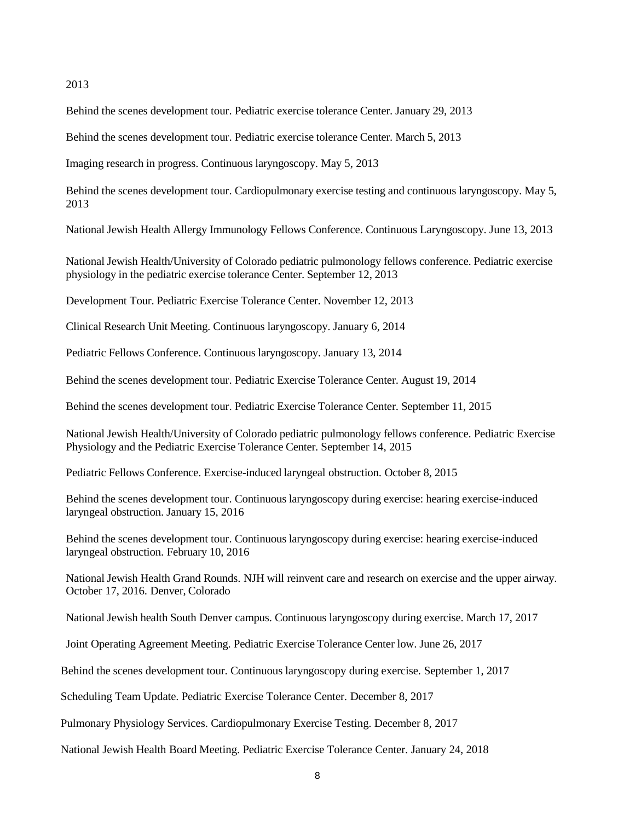2013

Behind the scenes development tour. Pediatric exercise tolerance Center. January 29, 2013

Behind the scenes development tour. Pediatric exercise tolerance Center. March 5, 2013

Imaging research in progress. Continuous laryngoscopy. May 5, 2013

Behind the scenes development tour. Cardiopulmonary exercise testing and continuous laryngoscopy. May 5, 2013

National Jewish Health Allergy Immunology Fellows Conference. Continuous Laryngoscopy. June 13, 2013

National Jewish Health/University of Colorado pediatric pulmonology fellows conference. Pediatric exercise physiology in the pediatric exercise tolerance Center. September 12, 2013

Development Tour. Pediatric Exercise Tolerance Center. November 12, 2013

Clinical Research Unit Meeting. Continuous laryngoscopy. January 6, 2014

Pediatric Fellows Conference. Continuous laryngoscopy. January 13, 2014

Behind the scenes development tour. Pediatric Exercise Tolerance Center. August 19, 2014

Behind the scenes development tour. Pediatric Exercise Tolerance Center. September 11, 2015

National Jewish Health/University of Colorado pediatric pulmonology fellows conference. Pediatric Exercise Physiology and the Pediatric Exercise Tolerance Center. September 14, 2015

Pediatric Fellows Conference. Exercise-induced laryngeal obstruction. October 8, 2015

Behind the scenes development tour. Continuous laryngoscopy during exercise: hearing exercise-induced laryngeal obstruction. January 15, 2016

Behind the scenes development tour. Continuous laryngoscopy during exercise: hearing exercise-induced laryngeal obstruction. February 10, 2016

National Jewish Health Grand Rounds. NJH will reinvent care and research on exercise and the upper airway. October 17, 2016. Denver, Colorado

National Jewish health South Denver campus. Continuous laryngoscopy during exercise. March 17, 2017

Joint Operating Agreement Meeting. Pediatric Exercise Tolerance Center low. June 26, 2017

Behind the scenes development tour. Continuous laryngoscopy during exercise. September 1, 2017

Scheduling Team Update. Pediatric Exercise Tolerance Center. December 8, 2017

Pulmonary Physiology Services. Cardiopulmonary Exercise Testing. December 8, 2017

National Jewish Health Board Meeting. Pediatric Exercise Tolerance Center. January 24, 2018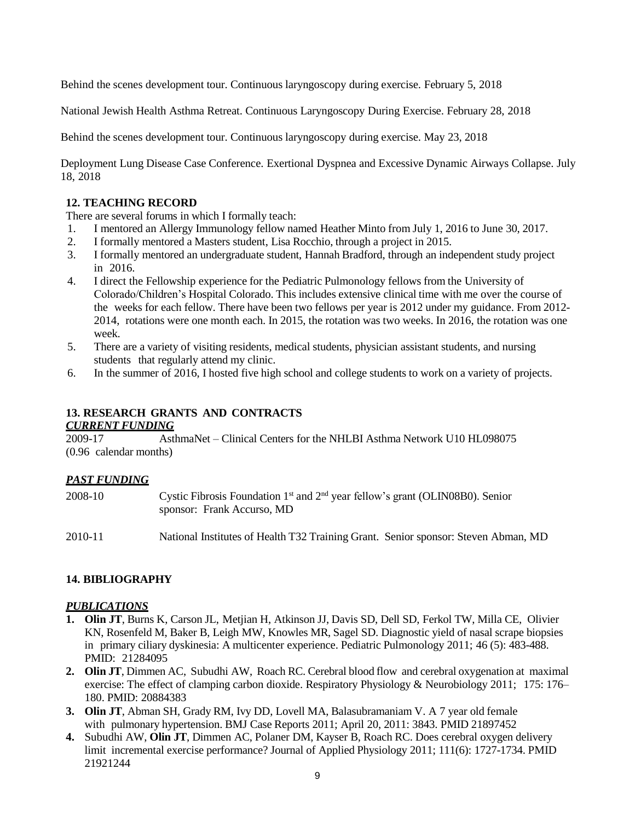Behind the scenes development tour. Continuous laryngoscopy during exercise. February 5, 2018

National Jewish Health Asthma Retreat. Continuous Laryngoscopy During Exercise. February 28, 2018

Behind the scenes development tour. Continuous laryngoscopy during exercise. May 23, 2018

Deployment Lung Disease Case Conference. Exertional Dyspnea and Excessive Dynamic Airways Collapse. July 18, 2018

#### **12. TEACHING RECORD**

There are several forums in which I formally teach:

- 1. I mentored an Allergy Immunology fellow named Heather Minto from July 1, 2016 to June 30, 2017.
- 2. I formally mentored a Masters student, Lisa Rocchio, through a project in 2015.
- 3. I formally mentored an undergraduate student, Hannah Bradford, through an independent study project in 2016.
- 4. I direct the Fellowship experience for the Pediatric Pulmonology fellows from the University of Colorado/Children's Hospital Colorado. This includes extensive clinical time with me over the course of the weeks for each fellow. There have been two fellows per year is 2012 under my guidance. From 2012- 2014, rotations were one month each. In 2015, the rotation was two weeks. In 2016, the rotation was one week.
- 5. There are a variety of visiting residents, medical students, physician assistant students, and nursing students that regularly attend my clinic.
- 6. In the summer of 2016, I hosted five high school and college students to work on a variety of projects.

# **13. RESEARCH GRANTS AND CONTRACTS**

#### *CURRENT FUNDING*

2009-17 AsthmaNet – Clinical Centers for the NHLBI Asthma Network U10 HL098075 (0.96 calendar months)

### *PAST FUNDING*

| 2008-10 | Cystic Fibrosis Foundation $1st$ and $2nd$ year fellow's grant (OLIN08B0). Senior<br>sponsor: Frank Accurso, MD |
|---------|-----------------------------------------------------------------------------------------------------------------|
| 2010-11 | National Institutes of Health T32 Training Grant. Senior sponsor: Steven Abman, MD                              |

### **14. BIBLIOGRAPHY**

### *PUBLICATIONS*

- **1. Olin JT**, Burns K, Carson JL, Metjian H, Atkinson JJ, Davis SD, Dell SD, Ferkol TW, Milla CE, Olivier KN, Rosenfeld M, Baker B, Leigh MW, Knowles MR, Sagel SD. Diagnostic yield of nasal scrape biopsies in primary ciliary dyskinesia: A multicenter experience. Pediatric Pulmonology 2011; 46 (5): 483-488. PMID: 21284095
- **2. Olin JT**, Dimmen AC, Subudhi AW, Roach RC. Cerebral blood flow and cerebral oxygenation at maximal exercise: The effect of clamping carbon dioxide. Respiratory Physiology & Neurobiology 2011; 175: 176– 180. PMID: 20884383
- **3. Olin JT**, Abman SH, Grady RM, Ivy DD, Lovell MA, Balasubramaniam V. A 7 year old female with pulmonary hypertension. BMJ Case Reports 2011; April 20, 2011: 3843. PMID 21897452
- **4.** Subudhi AW, **Olin JT**, Dimmen AC, Polaner DM, Kayser B, Roach RC. Does cerebral oxygen delivery limit incremental exercise performance? Journal of Applied Physiology 2011; 111(6): 1727-1734. PMID 21921244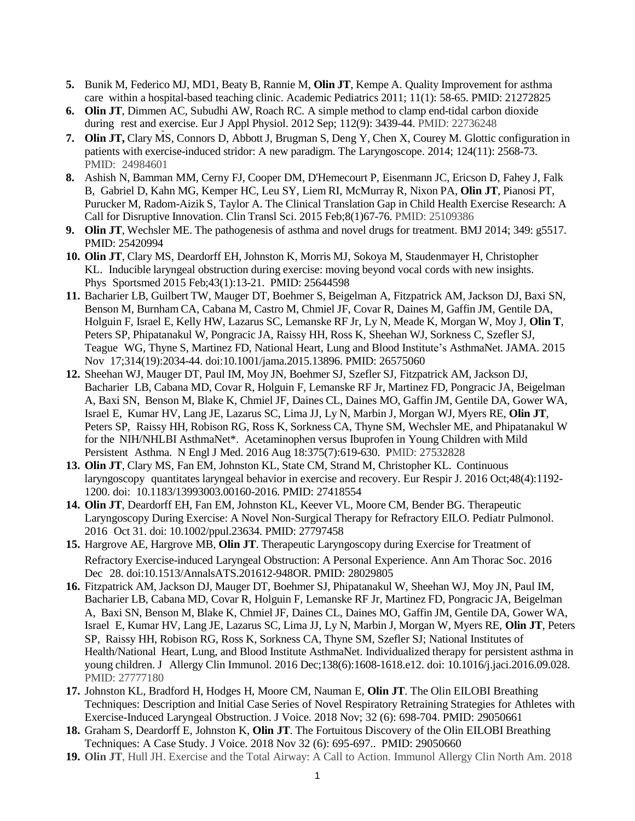- **5.** Bunik M, Federico MJ, MD1, Beaty B, Rannie M, **Olin JT**, Kempe A. Quality Improvement for asthma care within a hospital-based teaching clinic. Academic Pediatrics 2011; 11(1): 58-65. PMID: 21272825
- **6. Olin JT**, Dimmen AC, Subudhi AW, Roach RC. A simple method to clamp end-tidal carbon dioxide during rest and exercise. Eur J Appl Physiol. 2012 Sep; 112(9): 3439-44. PMID: 22736248
- **7. Olin JT,** Clary MS, Connors D, Abbott J, Brugman S, Deng Y, Chen X, Courey M. Glottic configuration in patients with exercise-induced stridor: A new paradigm. The Laryngoscope. 2014; 124(11): 2568-73. PMID: 24984601
- **8.** Ashish N, Bamman MM, Cerny FJ, Cooper DM, D'Hemecourt P, Eisenmann JC, Ericson D, Fahey J, Falk B, Gabriel D, Kahn MG, Kemper HC, Leu SY, Liem RI, McMurray R, Nixon PA, **Olin JT**, Pianosi PT, Purucker M, Radom-Aizik S, Taylor A. The Clinical Translation Gap in Child Health Exercise Research: A Call for Disruptive Innovation. Clin Transl Sci. 2015 Feb;8(1)67-76. PMID: 25109386
- **9. Olin JT**, Wechsler ME. The pathogenesis of asthma and novel drugs for treatment. BMJ 2014; 349: g5517. PMID: 25420994
- **10. Olin JT**, Clary MS, Deardorff EH, Johnston K, Morris MJ, Sokoya M, Staudenmayer H, Christopher KL. Inducible laryngeal obstruction during exercise: moving beyond vocal cords with new insights. Phys Sportsmed 2015 Feb;43(1):13-21. PMID: 25644598
- **11.** Bacharier LB, Guilbert TW, Mauger DT, Boehmer S, Beigelman A, Fitzpatrick AM, Jackson DJ, Baxi SN, Benson M, Burnham CA, Cabana M, Castro M, Chmiel JF, Covar R, Daines M, Gaffin JM, Gentile DA, Holguin F, Israel E, Kelly HW, Lazarus SC, Lemanske RF Jr, Ly N, Meade K, Morgan W, Moy J, **Olin T**, Peters SP, Phipatanakul W, Pongracic JA, Raissy HH, Ross K, Sheehan WJ, Sorkness C, Szefler SJ, Teague WG, Thyne S, Martinez FD, National Heart, Lung and Blood Institute's AsthmaNet. JAMA. 2015 Nov 17;314(19):2034-44. doi:10.1001/jama.2015.13896. PMID: 26575060
- **12.** Sheehan WJ, Mauger DT, Paul IM, Moy JN, Boehmer SJ, Szefler SJ, Fitzpatrick AM, Jackson DJ, Bacharier LB, Cabana MD, Covar R, Holguin F, Lemanske RF Jr, Martinez FD, Pongracic JA, Beigelman A, Baxi SN, Benson M, Blake K, Chmiel JF, Daines CL, Daines MO, Gaffin JM, Gentile DA, Gower WA, Israel E, Kumar HV, Lang JE, Lazarus SC, Lima JJ, Ly N, Marbin J, Morgan WJ, Myers RE, **Olin JT**, Peters SP, Raissy HH, Robison RG, Ross K, Sorkness CA, Thyne SM, Wechsler ME, and Phipatanakul W for the NIH/NHLBI AsthmaNet\*. Acetaminophen versus Ibuprofen in Young Children with Mild Persistent Asthma. N Engl J Med. 2016 Aug 18:375(7):619-630. PMID: 27532828
- **13. Olin JT**, Clary MS, Fan EM, Johnston KL, State CM, Strand M, Christopher KL. Continuous laryngoscopy quantitates laryngeal behavior in exercise and recovery. Eur Respir J. 2016 Oct;48(4):1192- 1200. doi: 10.1183/13993003.00160-2016. PMID: 27418554
- **14. Olin JT**, Deardorff EH, Fan EM, Johnston KL, Keever VL, Moore CM, Bender BG. Therapeutic Laryngoscopy During Exercise: A Novel Non-Surgical Therapy for Refractory EILO. Pediatr Pulmonol. 2016 Oct 31. doi: 10.1002/ppul.23634. PMID: 27797458
- **15.** Hargrove AE, Hargrove MB, **Olin JT**. Therapeutic Laryngoscopy during Exercise for Treatment of Refractory Exercise-induced Laryngeal Obstruction: A Personal Experience. Ann Am Thorac Soc. 2016 Dec 28. doi:10.1513/AnnalsATS.201612-948OR. PMID: 28029805
- **16.** Fitzpatrick AM, Jackson DJ, Mauger DT, Boehmer SJ, Phipatanakul W, Sheehan WJ, Moy JN, Paul IM, Bacharier LB, Cabana MD, Covar R, Holguin F, Lemanske RF Jr, Martinez FD, Pongracic JA, Beigelman A, Baxi SN, Benson M, Blake K, Chmiel JF, Daines CL, Daines MO, Gaffin JM, Gentile DA, Gower WA, Israel E, Kumar HV, Lang JE, Lazarus SC, Lima JJ, Ly N, Marbin J, Morgan W, Myers RE, **Olin JT**, Peters SP, Raissy HH, Robison RG, Ross K, Sorkness CA, Thyne SM, Szefler SJ; National Institutes of Health/National Heart, Lung, and Blood Institute AsthmaNet. Individualized therapy for persistent asthma in young children. J Allergy Clin Immunol. 2016 Dec;138(6):1608-1618.e12. doi: 10.1016/j.jaci.2016.09.028. PMID: 27777180
- **17.** Johnston KL, Bradford H, Hodges H, Moore CM, Nauman E, **Olin JT**. The Olin EILOBI Breathing Techniques: Description and Initial Case Series of Novel Respiratory Retraining Strategies for Athletes with Exercise-Induced Laryngeal Obstruction. J Voice. 2018 Nov; 32 (6): 698-704. PMID: 29050661
- **18.** Graham S, Deardorff E, Johnston K, **Olin JT**. The Fortuitous Discovery of the Olin EILOBI Breathing Techniques: A Case Study. J Voice. 2018 Nov 32 (6): 695-697.. PMID: 29050660
- **19. Olin JT**, Hull JH. Exercise and the Total Airway: A Call to Action. Immunol Allergy Clin North Am. 2018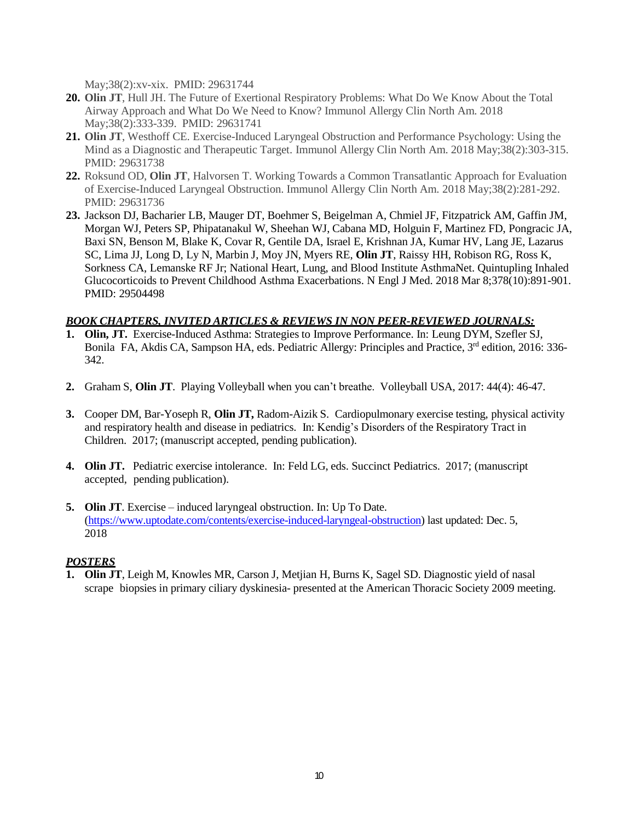May;38(2):xv-xix. PMID: 29631744

- **20. Olin JT**, Hull JH. The Future of Exertional Respiratory Problems: What Do We Know About the Total Airway Approach and What Do We Need to Know? Immunol Allergy Clin North Am. 2018 May;38(2):333-339. PMID: 29631741
- **21. Olin JT**, Westhoff CE. Exercise-Induced Laryngeal Obstruction and Performance Psychology: Using the Mind as a Diagnostic and Therapeutic Target. Immunol Allergy Clin North Am. 2018 May;38(2):303-315. PMID: 29631738
- **22.** Roksund OD, **Olin JT**, Halvorsen T. Working Towards a Common Transatlantic Approach for Evaluation of Exercise-Induced Laryngeal Obstruction. Immunol Allergy Clin North Am. 2018 May;38(2):281-292. PMID: 29631736
- **23.** Jackson DJ, Bacharier LB, Mauger DT, Boehmer S, Beigelman A, Chmiel JF, Fitzpatrick AM, Gaffin JM, Morgan WJ, Peters SP, Phipatanakul W, Sheehan WJ, Cabana MD, Holguin F, Martinez FD, Pongracic JA, Baxi SN, Benson M, Blake K, Covar R, Gentile DA, Israel E, Krishnan JA, Kumar HV, Lang JE, Lazarus SC, Lima JJ, Long D, Ly N, Marbin J, Moy JN, Myers RE, **Olin JT**, Raissy HH, Robison RG, Ross K, Sorkness CA, Lemanske RF Jr; National Heart, Lung, and Blood Institute AsthmaNet. Quintupling Inhaled Glucocorticoids to Prevent Childhood Asthma Exacerbations. N Engl J Med. 2018 Mar 8;378(10):891-901. PMID: 29504498

# *BOOK CHAPTERS, INVITED ARTICLES & REVIEWS IN NON PEER-REVIEWED JOURNALS:*

- **1. Olin, JT.** Exercise-Induced Asthma: Strategies to Improve Performance. In: Leung DYM, Szefler SJ, Bonila FA, Akdis CA, Sampson HA, eds. Pediatric Allergy: Principles and Practice, 3<sup>rd</sup> edition, 2016: 336-342.
- **2.** Graham S, **Olin JT**. Playing Volleyball when you can't breathe. Volleyball USA, 2017: 44(4): 46-47.
- **3.** Cooper DM, Bar-Yoseph R, **Olin JT,** Radom-Aizik S. Cardiopulmonary exercise testing, physical activity and respiratory health and disease in pediatrics. In: Kendig's Disorders of the Respiratory Tract in Children. 2017; (manuscript accepted, pending publication).
- **4. Olin JT.** Pediatric exercise intolerance. In: Feld LG, eds. Succinct Pediatrics. 2017; (manuscript accepted, pending publication).
- **5. Olin JT**. Exercise induced laryngeal obstruction. In: Up To Date. [\(https://www.uptodate.com/contents/exercise-induced-laryngeal-obstruction\)](https://www.uptodate.com/contents/exercise-induced-laryngeal-obstruction) last updated: Dec. 5, 2018

# *POSTERS*

**1. Olin JT**, Leigh M, Knowles MR, Carson J, Metjian H, Burns K, Sagel SD. Diagnostic yield of nasal scrape biopsies in primary ciliary dyskinesia- presented at the American Thoracic Society 2009 meeting.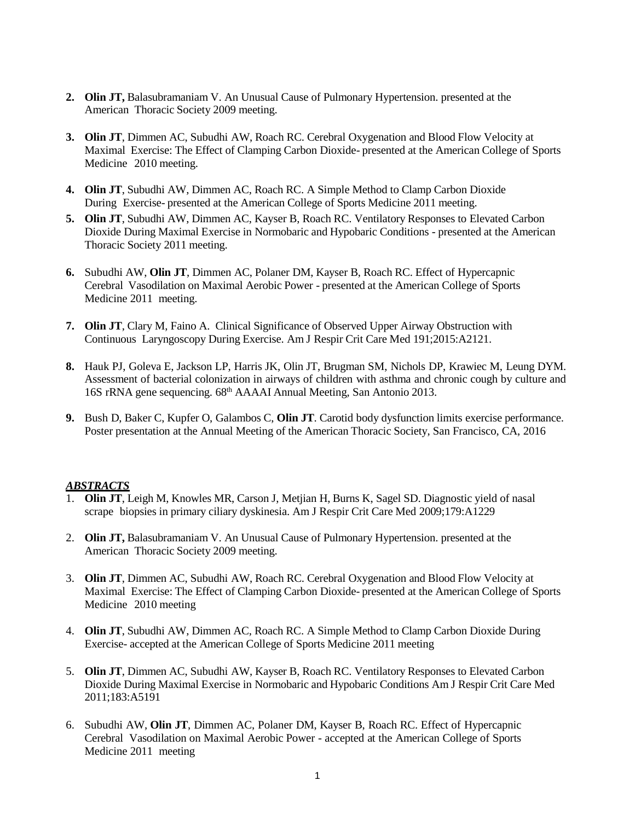- **2. Olin JT,** Balasubramaniam V. An Unusual Cause of Pulmonary Hypertension. presented at the American Thoracic Society 2009 meeting.
- **3. Olin JT**, Dimmen AC, Subudhi AW, Roach RC. Cerebral Oxygenation and Blood Flow Velocity at Maximal Exercise: The Effect of Clamping Carbon Dioxide- presented at the American College of Sports Medicine 2010 meeting.
- **4. Olin JT**, Subudhi AW, Dimmen AC, Roach RC. A Simple Method to Clamp Carbon Dioxide During Exercise- presented at the American College of Sports Medicine 2011 meeting.
- **5. Olin JT**, Subudhi AW, Dimmen AC, Kayser B, Roach RC. Ventilatory Responses to Elevated Carbon Dioxide During Maximal Exercise in Normobaric and Hypobaric Conditions - presented at the American Thoracic Society 2011 meeting.
- **6.** Subudhi AW, **Olin JT**, Dimmen AC, Polaner DM, Kayser B, Roach RC. Effect of Hypercapnic Cerebral Vasodilation on Maximal Aerobic Power - presented at the American College of Sports Medicine 2011 meeting.
- **7. Olin JT**, Clary M, Faino A. Clinical Significance of Observed Upper Airway Obstruction with Continuous Laryngoscopy During Exercise. Am J Respir Crit Care Med 191;2015:A2121.
- **8.** Hauk PJ, Goleva E, Jackson LP, Harris JK, Olin JT, Brugman SM, Nichols DP, Krawiec M, Leung DYM. Assessment of bacterial colonization in airways of children with asthma and chronic cough by culture and 16S rRNA gene sequencing. 68th AAAAI Annual Meeting, San Antonio 2013.
- **9.** Bush D, Baker C, Kupfer O, Galambos C, **Olin JT**. Carotid body dysfunction limits exercise performance. Poster presentation at the Annual Meeting of the American Thoracic Society, San Francisco, CA, 2016

#### *ABSTRACTS*

- 1. **Olin JT**, Leigh M, Knowles MR, Carson J, Metjian H, Burns K, Sagel SD. Diagnostic yield of nasal scrape biopsies in primary ciliary dyskinesia. Am J Respir Crit Care Med 2009;179:A1229
- 2. **Olin JT,** Balasubramaniam V. An Unusual Cause of Pulmonary Hypertension. presented at the American Thoracic Society 2009 meeting.
- 3. **Olin JT**, Dimmen AC, Subudhi AW, Roach RC. Cerebral Oxygenation and Blood Flow Velocity at Maximal Exercise: The Effect of Clamping Carbon Dioxide- presented at the American College of Sports Medicine 2010 meeting
- 4. **Olin JT**, Subudhi AW, Dimmen AC, Roach RC. A Simple Method to Clamp Carbon Dioxide During Exercise- accepted at the American College of Sports Medicine 2011 meeting
- 5. **Olin JT**, Dimmen AC, Subudhi AW, Kayser B, Roach RC. Ventilatory Responses to Elevated Carbon Dioxide During Maximal Exercise in Normobaric and Hypobaric Conditions Am J Respir Crit Care Med 2011;183:A5191
- 6. Subudhi AW, **Olin JT**, Dimmen AC, Polaner DM, Kayser B, Roach RC. Effect of Hypercapnic Cerebral Vasodilation on Maximal Aerobic Power - accepted at the American College of Sports Medicine 2011 meeting